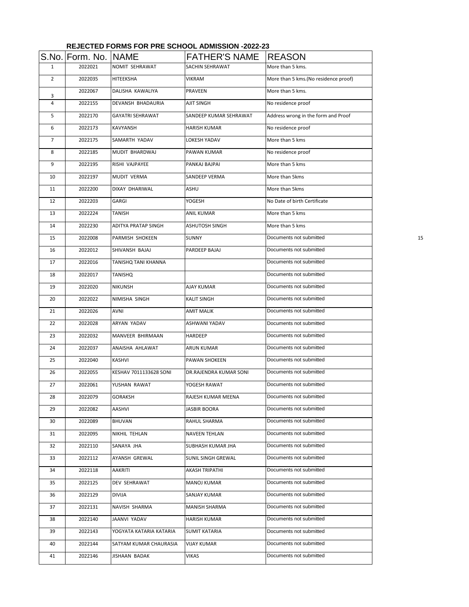|                | S.No. Form. No. NAME |                         | <b>FATHER'S NAME</b>   | <b>REASON</b>                         |    |
|----------------|----------------------|-------------------------|------------------------|---------------------------------------|----|
| $\mathbf{1}$   | 2022021              | NOMIT SEHRAWAT          | SACHIN SEHRAWAT        | More than 5 kms.                      |    |
| $\overline{2}$ | 2022035              | HITEEKSHA               | VIKRAM                 | More than 5 kms. (No residence proof) |    |
| 3              | 2022067              | DALISHA KAWALIYA        | PRAVEEN                | More than 5 kms.                      |    |
| 4              | 2022155              | DEVANSH BHADAURIA       | AJIT SINGH             | No residence proof                    |    |
| 5              | 2022170              | <b>GAYATRI SEHRAWAT</b> | SANDEEP KUMAR SEHRAWAT | Address wrong in the form and Proof   |    |
| 6              | 2022173              | KAVYANSH                | <b>HARISH KUMAR</b>    | No residence proof                    |    |
| 7              | 2022175              | SAMARTH YADAV           | LOKESH YADAV           | More than 5 kms                       |    |
| 8              | 2022185              | MUDIT BHARDWAJ          | PAWAN KUMAR            | No residence proof                    |    |
| 9              | 2022195              | RISHI VAJPAYEE          | PANKAJ BAJPAI          | More than 5 kms                       |    |
| 10             | 2022197              | MUDIT VERMA             | SANDEEP VERMA          | More than 5kms                        |    |
| 11             | 2022200              | DIXAY DHARIWAL          | ASHU                   | More than 5kms                        |    |
| 12             | 2022203              | GARGI                   | YOGESH                 | No Date of birth Certificate          |    |
| 13             | 2022224              | TANISH                  | <b>ANIL KUMAR</b>      | More than 5 kms                       |    |
| 14             | 2022230              | ADITYA PRATAP SINGH     | ASHUTOSH SINGH         | More than 5 kms                       |    |
| 15             | 2022008              | PARMISH SHOKEEN         | SUNNY                  | Documents not submitted               | 15 |
| 16             | 2022012              | SHIVANSH BAJAJ          | PARDEEP BAJAJ          | Documents not submitted               |    |
| 17             | 2022016              | TANISHQ TANI KHANNA     |                        | Documents not submitted               |    |
| 18             | 2022017              | TANISHQ                 |                        | Documents not submitted               |    |
| 19             | 2022020              | NIKUNSH                 | AJAY KUMAR             | Documents not submitted               |    |
| 20             | 2022022              | NIMISHA SINGH           | KALIT SINGH            | Documents not submitted               |    |
| 21             | 2022026              | AVNI                    | AMIT MALIK             | Documents not submitted               |    |
| 22             | 2022028              | ARYAN YADAV             | ASHWANI YADAV          | Documents not submitted               |    |
| 23             | 2022032              | MANVEER BHIRMAAN        | HARDEEP                | Documents not submitted               |    |
| 24             | 2022037              | ANAISHA AHLAWAT         | ARUN KUMAR             | Documents not submitted               |    |
| 25             | 2022040              | KASHVI                  | PAWAN SHOKEEN          | Documents not submitted               |    |
| 26             | 2022055              | KESHAV 7011133628 SONI  | DR.RAJENDRA KUMAR SONI | Documents not submitted               |    |
| 27             | 2022061              | YUSHAN RAWAT            | YOGESH RAWAT           | Documents not submitted               |    |
| 28             | 2022079              | GORAKSH                 | RAJESH KUMAR MEENA     | Documents not submitted               |    |
| 29             | 2022082              | AASHVI                  | JASBIR BOORA           | Documents not submitted               |    |
| 30             | 2022089              | <b>BHUVAN</b>           | RAHUL SHARMA           | Documents not submitted               |    |
| 31             | 2022095              | NIKHIL TEHLAN           | NAVEEN TEHLAN          | Documents not submitted               |    |
| 32             | 2022110              | SANAYA JHA              | SUBHASH KUMAR JHA      | Documents not submitted               |    |
| 33             | 2022112              | AYANSH GREWAL           | SUNIL SINGH GREWAL     | Documents not submitted               |    |
| 34             | 2022118              | AAKRITI                 | AKASH TRIPATHI         | Documents not submitted               |    |
| 35             | 2022125              | DEV SEHRAWAT            | MANOJ KUMAR            | Documents not submitted               |    |
| 36             | 2022129              | DIVIJA                  | SANJAY KUMAR           | Documents not submitted               |    |
| 37             | 2022131              | NAVISH SHARMA           | MANISH SHARMA          | Documents not submitted               |    |
| 38             | 2022140              | JAANVI YADAV            | <b>HARISH KUMAR</b>    | Documents not submitted               |    |
| 39             | 2022143              | YOGYATA KATARIA KATARIA | SUMIT KATARIA          | Documents not submitted               |    |
| 40             | 2022144              | SATYAM KUMAR CHAURASIA  | <b>VIJAY KUMAR</b>     | Documents not submitted               |    |
| 41             | 2022146              | JISHAAN BADAK           | VIKAS                  | Documents not submitted               |    |

## **REJECTED FORMS FOR PRE SCHOOL ADMISSION -2022-23**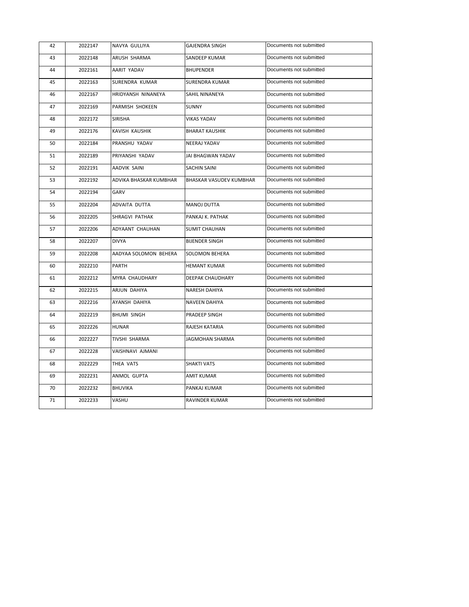| 42 | 2022147 | NAVYA GULLIYA          | <b>GAJENDRA SINGH</b>   | Documents not submitted |
|----|---------|------------------------|-------------------------|-------------------------|
| 43 | 2022148 | ARUSH SHARMA           | SANDEEP KUMAR           | Documents not submitted |
| 44 | 2022161 | AARIT YADAV            | <b>BHUPENDER</b>        | Documents not submitted |
| 45 | 2022163 | SURENDRA KUMAR         | <b>SURENDRA KUMAR</b>   | Documents not submitted |
| 46 | 2022167 | HRIDYANSH NINANEYA     | SAHIL NINANEYA          | Documents not submitted |
| 47 | 2022169 | PARMISH SHOKEEN        | SUNNY                   | Documents not submitted |
| 48 | 2022172 | SIRISHA                | <b>VIKAS YADAV</b>      | Documents not submitted |
| 49 | 2022176 | KAVISH KAUSHIK         | <b>BHARAT KAUSHIK</b>   | Documents not submitted |
| 50 | 2022184 | PRANSHU YADAV          | NEERAJ YADAV            | Documents not submitted |
| 51 | 2022189 | PRIYANSHI YADAV        | JAI BHAGWAN YADAV       | Documents not submitted |
| 52 | 2022191 | AADVIK SAINI           | <b>SACHIN SAINI</b>     | Documents not submitted |
| 53 | 2022192 | ADVIKA BHASKAR KUMBHAR | BHASKAR VASUDEV KUMBHAR | Documents not submitted |
| 54 | 2022194 | GARV                   |                         | Documents not submitted |
| 55 | 2022204 | ADVAITA DUTTA          | <b>MANOJ DUTTA</b>      | Documents not submitted |
| 56 | 2022205 | SHRAGVI PATHAK         | PANKAJ K. PATHAK        | Documents not submitted |
| 57 | 2022206 | ADYAANT CHAUHAN        | <b>SUMIT CHAUHAN</b>    | Documents not submitted |
| 58 | 2022207 | <b>DIVYA</b>           | <b>BIJENDER SINGH</b>   | Documents not submitted |
| 59 | 2022208 | AADYAA SOLOMON BEHERA  | <b>SOLOMON BEHERA</b>   | Documents not submitted |
| 60 | 2022210 | PARTH                  | <b>HEMANT KUMAR</b>     | Documents not submitted |
| 61 | 2022212 | MYRA CHAUDHARY         | DEEPAK CHAUDHARY        | Documents not submitted |
| 62 | 2022215 | ARJUN DAHIYA           | NARESH DAHIYA           | Documents not submitted |
| 63 | 2022216 | AYANSH DAHIYA          | NAVEEN DAHIYA           | Documents not submitted |
| 64 | 2022219 | BHUMI SINGH            | PRADEEP SINGH           | Documents not submitted |
| 65 | 2022226 | <b>HUNAR</b>           | RAJESH KATARIA          | Documents not submitted |
| 66 | 2022227 | TIVSHI SHARMA          | JAGMOHAN SHARMA         | Documents not submitted |
| 67 | 2022228 | VAISHNAVI AJMANI       |                         | Documents not submitted |
| 68 | 2022229 | THEA VATS              | <b>SHAKTI VATS</b>      | Documents not submitted |
| 69 | 2022231 | ANMOL GUPTA            | AMIT KUMAR              | Documents not submitted |
| 70 | 2022232 | BHUVIKA                | PANKAJ KUMAR            | Documents not submitted |
| 71 | 2022233 | VASHU                  | RAVINDER KUMAR          | Documents not submitted |
|    |         |                        |                         |                         |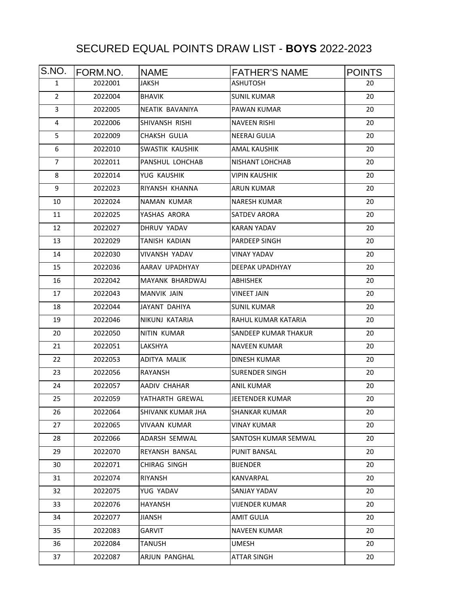## SECURED EQUAL POINTS DRAW LIST - **BOYS** 2022-2023

| S.NO.          | FORM.NO. | <b>NAME</b>       | <b>FATHER'S NAME</b>   | <b>POINTS</b> |
|----------------|----------|-------------------|------------------------|---------------|
| 1              | 2022001  | JAKSH             | <b>ASHUTOSH</b>        | 20            |
| $\overline{2}$ | 2022004  | <b>BHAVIK</b>     | <b>SUNIL KUMAR</b>     | 20            |
| 3              | 2022005  | NEATIK BAVANIYA   | PAWAN KUMAR            | 20            |
| 4              | 2022006  | SHIVANSH RISHI    | <b>NAVEEN RISHI</b>    | 20            |
| 5              | 2022009  | CHAKSH GULIA      | NEERAJ GULIA           | 20            |
| 6              | 2022010  | SWASTIK KAUSHIK   | AMAL KAUSHIK           | 20            |
| $\overline{7}$ | 2022011  | PANSHUL LOHCHAB   | NISHANT LOHCHAB        | 20            |
| 8              | 2022014  | YUG KAUSHIK       | <b>VIPIN KAUSHIK</b>   | 20            |
| 9              | 2022023  | RIYANSH KHANNA    | <b>ARUN KUMAR</b>      | 20            |
| 10             | 2022024  | NAMAN KUMAR       | <b>NARESH KUMAR</b>    | 20            |
| 11             | 2022025  | YASHAS ARORA      | <b>SATDEV ARORA</b>    | 20            |
| 12             | 2022027  | DHRUV YADAV       | <b>KARAN YADAV</b>     | 20            |
| 13             | 2022029  | TANISH KADIAN     | PARDEEP SINGH          | 20            |
| 14             | 2022030  | VIVANSH YADAV     | <b>VINAY YADAV</b>     | 20            |
| 15             | 2022036  | AARAV UPADHYAY    | DEEPAK UPADHYAY        | 20            |
| 16             | 2022042  | MAYANK BHARDWAJ   | ABHISHEK               | 20            |
| 17             | 2022043  | MANVIK JAIN       | <b>VINEET JAIN</b>     | 20            |
| 18             | 2022044  | JAYANT DAHIYA     | <b>SUNIL KUMAR</b>     | 20            |
| 19             | 2022046  | NIKUNJ KATARIA    | RAHUL KUMAR KATARIA    | 20            |
| 20             | 2022050  | NITIN KUMAR       | SANDEEP KUMAR THAKUR   | 20            |
| 21             | 2022051  | LAKSHYA           | <b>NAVEEN KUMAR</b>    | 20            |
| 22             | 2022053  | ADITYA MALIK      | DINESH KUMAR           | 20            |
| 23             | 2022056  | RAYANSH           | <b>SURENDER SINGH</b>  | 20            |
| 24             | 2022057  | AADIV CHAHAR      | <b>ANIL KUMAR</b>      | 20            |
| 25             | 2022059  | YATHARTH GREWAL   | <b>JEETENDER KUMAR</b> | 20            |
| 26             | 2022064  | SHIVANK KUMAR JHA | SHANKAR KUMAR          | 20            |
| 27             | 2022065  | VIVAAN KUMAR      | <b>VINAY KUMAR</b>     | 20            |
| 28             | 2022066  | ADARSH SEMWAL     | SANTOSH KUMAR SEMWAL   | 20            |
| 29             | 2022070  | REYANSH BANSAL    | PUNIT BANSAL           | 20            |
| 30             | 2022071  | CHIRAG SINGH      | BIJENDER               | 20            |
| 31             | 2022074  | RIYANSH           | KANVARPAL              | 20            |
| 32             | 2022075  | YUG YADAV         | SANJAY YADAV           | 20            |
| 33             | 2022076  | <b>HAYANSH</b>    | <b>VIJENDER KUMAR</b>  | 20            |
| 34             | 2022077  | JIANSH            | AMIT GULIA             | 20            |
| 35             | 2022083  | GARVIT            | <b>NAVEEN KUMAR</b>    | 20            |
| 36             | 2022084  | TANUSH            | <b>UMESH</b>           | 20            |
| 37             | 2022087  | ARJUN PANGHAL     | ATTAR SINGH            | 20            |